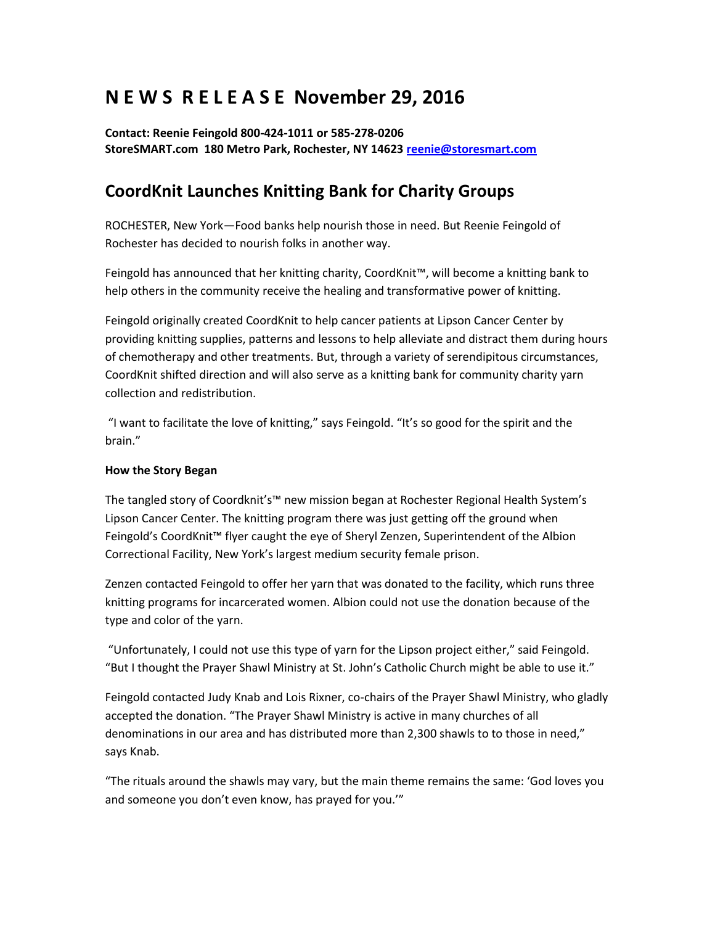## **N E W S R E L E A S E November 29, 2016**

**Contact: Reenie Feingold 800-424-1011 or 585-278-0206 StoreSMART.com 180 Metro Park, Rochester, NY 14623 [reenie@storesmart.com](mailto:reenie@storesmart.com)**

## **CoordKnit Launches Knitting Bank for Charity Groups**

ROCHESTER, New York—Food banks help nourish those in need. But Reenie Feingold of Rochester has decided to nourish folks in another way.

Feingold has announced that her knitting charity, CoordKnit™, will become a knitting bank to help others in the community receive the healing and transformative power of knitting.

Feingold originally created CoordKnit to help cancer patients at Lipson Cancer Center by providing knitting supplies, patterns and lessons to help alleviate and distract them during hours of chemotherapy and other treatments. But, through a variety of serendipitous circumstances, CoordKnit shifted direction and will also serve as a knitting bank for community charity yarn collection and redistribution.

"I want to facilitate the love of knitting," says Feingold. "It's so good for the spirit and the brain."

## **How the Story Began**

The tangled story of Coordknit's™ new mission began at Rochester Regional Health System's Lipson Cancer Center. The knitting program there was just getting off the ground when Feingold's CoordKnit™ flyer caught the eye of Sheryl Zenzen, Superintendent of the Albion Correctional Facility, New York's largest medium security female prison.

Zenzen contacted Feingold to offer her yarn that was donated to the facility, which runs three knitting programs for incarcerated women. Albion could not use the donation because of the type and color of the yarn.

"Unfortunately, I could not use this type of yarn for the Lipson project either," said Feingold. "But I thought the Prayer Shawl Ministry at St. John's Catholic Church might be able to use it."

Feingold contacted Judy Knab and Lois Rixner, co-chairs of the Prayer Shawl Ministry, who gladly accepted the donation. "The Prayer Shawl Ministry is active in many churches of all denominations in our area and has distributed more than 2,300 shawls to to those in need," says Knab.

"The rituals around the shawls may vary, but the main theme remains the same: 'God loves you and someone you don't even know, has prayed for you.'"